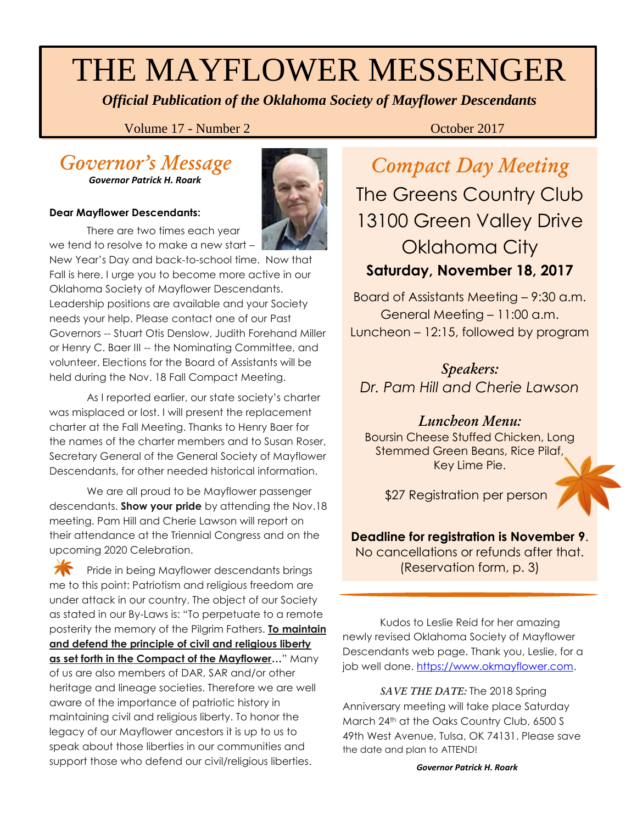# THE MAYFLOWER MESSENGER

*Official Publication of the Oklahoma Society of Mayflower Descendants*

Volume 17 - Number 2 October 2017

#### *Governor's Message Governor Patrick H. Roark*

#### **Dear Mayflower Descendants:**



There are two times each year we tend to resolve to make a new start –

New Year's Day and back-to-school time. Now that Fall is here, I urge you to become more active in our Oklahoma Society of Mayflower Descendants. Leadership positions are available and your Society needs your help. Please contact one of our Past Governors -- Stuart Otis Denslow, Judith Forehand Miller or Henry C. Baer III -- the Nominating Committee, and volunteer. Elections for the Board of Assistants will be held during the Nov. 18 Fall Compact Meeting.

As I reported earlier, our state society's charter was misplaced or lost. I will present the replacement charter at the Fall Meeting. Thanks to Henry Baer for the names of the charter members and to Susan Roser, Secretary General of the General Society of Mayflower Descendants, for other needed historical information.

We are all proud to be Mayflower passenger descendants. **Show your pride** by attending the Nov.18 meeting. Pam Hill and Cherie Lawson will report on their attendance at the Triennial Congress and on the upcoming 2020 Celebration.

Pride in being Mayflower descendants brings me to this point: Patriotism and religious freedom are under attack in our country. The object of our Society as stated in our By-Laws is: "To perpetuate to a remote posterity the memory of the Pilgrim Fathers. **To maintain and defend the principle of civil and religious liberty as set forth in the Compact of the Mayflower…**" Many of us are also members of DAR, SAR and/or other heritage and lineage societies. Therefore we are well aware of the importance of patriotic history in maintaining civil and religious liberty. To honor the legacy of our Mayflower ancestors it is up to us to speak about those liberties in our communities and support those who defend our civil/religious liberties.

*Compact Day Meeting* The Greens Country Club 13100 Green Valley Drive Oklahoma City **Saturday, November 18, 2017**

Board of Assistants Meeting – 9:30 a.m. General Meeting – 11:00 a.m. Luncheon – 12:15, followed by program

*Speakers: Dr. Pam Hill and Cherie Lawson*

### *Luncheon Menu:*

Boursin Cheese Stuffed Chicken, Long Stemmed Green Beans, Rice Pilaf, Key Lime Pie.

\$27 Registration per person

#### **Deadline for registration is November 9**.

No cancellations or refunds after that. (Reservation form, p. 3)

Kudos to Leslie Reid for her amazing newly revised Oklahoma Society of Mayflower Descendants web page. Thank you, Leslie, for a job well done. [https://www.okmayflower.com.](https://www.okmayflower.com/)

 *SAVE THE DATE:* The 2018 Spring Anniversary meeting will take place Saturday March 24th at the Oaks Country Club, 6500 S 49th West Avenue, Tulsa, OK 74131. Please save the date and plan to ATTEND!

*Governor Patrick H. Roark*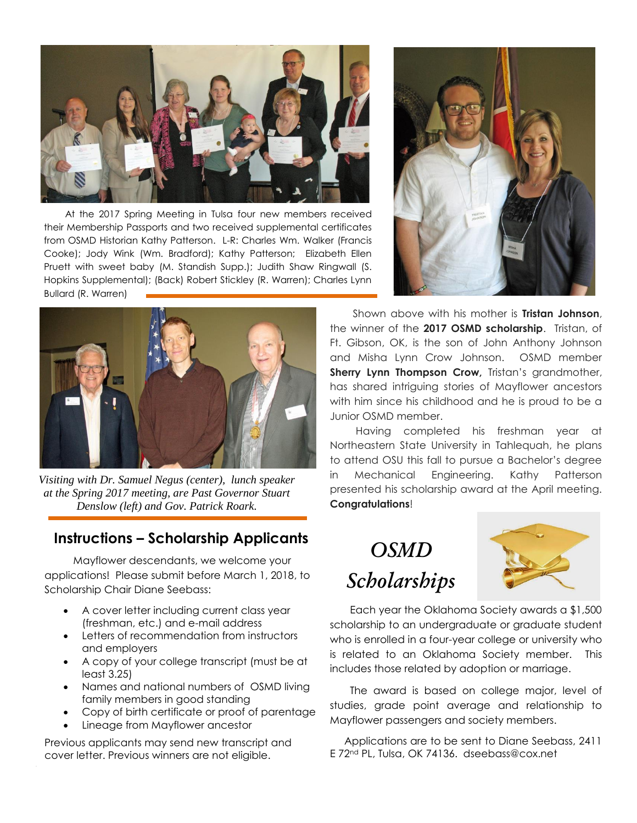

 At the 2017 Spring Meeting in Tulsa four new members received their Membership Passports and two received supplemental certificates from OSMD Historian Kathy Patterson. L-R: Charles Wm. Walker (Francis Cooke); Jody Wink (Wm. Bradford); Kathy Patterson; Elizabeth Ellen Pruett with sweet baby (M. Standish Supp.); Judith Shaw Ringwall (S. Hopkins Supplemental); (Back) Robert Stickley (R. Warren); Charles Lynn Bullard (R. Warren)



*Visiting with Dr. Samuel Negus (center), lunch speaker at the Spring 2017 meeting, are Past Governor Stuart Denslow (left) and Gov. Patrick Roark.*

#### **Instructions – Scholarship Applicants**

 Mayflower descendants, we welcome your applications! Please submit before March 1, 2018, to Scholarship Chair Diane Seebass:

- A cover letter including current class year (freshman, etc.) and e-mail address
- Letters of recommendation from instructors and employers
- A copy of your college transcript (must be at least 3.25)
- Names and national numbers of OSMD living family members in good standing
- Copy of birth certificate or proof of parentage
- Lineage from Mayflower ancestor

Previous applicants may send new transcript and cover letter. Previous winners are not eligible.



 Shown above with his mother is **Tristan Johnson**, the winner of the **2017 OSMD scholarship**. Tristan, of Ft. Gibson, OK, is the son of John Anthony Johnson and Misha Lynn Crow Johnson. OSMD member **Sherry Lynn Thompson Crow, Tristan's grandmother,** has shared intriguing stories of Mayflower ancestors with him since his childhood and he is proud to be a Junior OSMD member.

 Having completed his freshman year at Northeastern State University in Tahlequah, he plans to attend OSU this fall to pursue a Bachelor's degree in Mechanical Engineering. Kathy Patterson presented his scholarship award at the April meeting. **Congratulations**!





 Each year the Oklahoma Society awards a \$1,500 scholarship to an undergraduate or graduate student who is enrolled in a four-year college or university who is related to an Oklahoma Society member. This includes those related by adoption or marriage.

 The award is based on college major, level of studies, grade point average and relationship to Mayflower passengers and society members.

 Applications are to be sent to Diane Seebass, 2411 E 72nd PL, Tulsa, OK 74136. dseebass@cox.net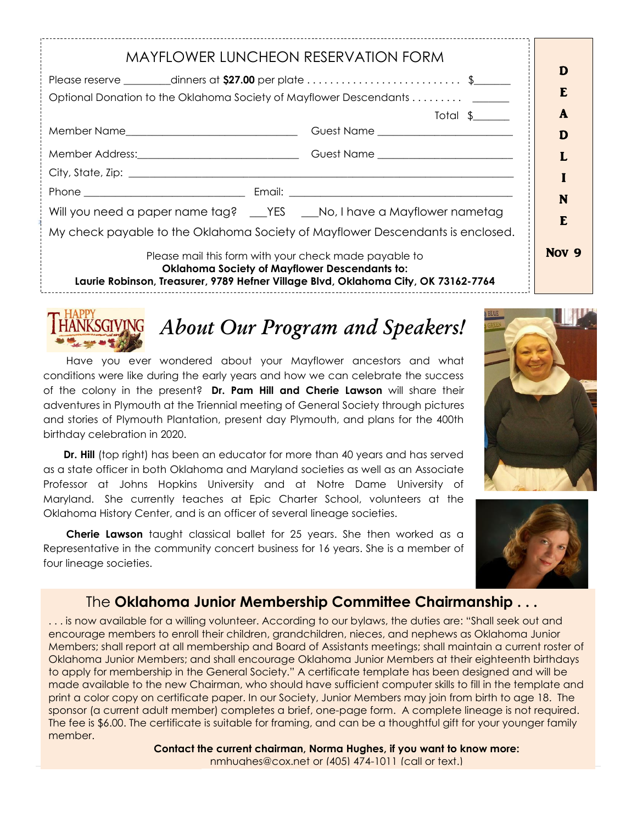| <b>MAYFLOWER LUNCHEON RESERVATION FORM</b><br>Please reserve $\_\_\_\_\_$ dinners at \$27.00 per plate $\_\_\_\_\_\_\_\_\_\_\_\_\_$ .<br>Optional Donation to the Oklahoma Society of Mayflower Descendants | $Total \quad 1$ | D<br>E<br>A |  |  |
|-------------------------------------------------------------------------------------------------------------------------------------------------------------------------------------------------------------|-----------------|-------------|--|--|
|                                                                                                                                                                                                             |                 | D           |  |  |
|                                                                                                                                                                                                             |                 |             |  |  |
|                                                                                                                                                                                                             |                 |             |  |  |
|                                                                                                                                                                                                             |                 | N           |  |  |
| Will you need a paper name tag? ___ YES ___ No, I have a Mayflower nametag                                                                                                                                  |                 | E           |  |  |
| My check payable to the Oklahoma Society of Mayflower Descendants is enclosed.                                                                                                                              |                 |             |  |  |
| Please mail this form with your check made payable to<br><b>Oklahoma Society of Mayflower Descendants to:</b><br>Laurie Robinson, Treasurer, 9789 Hefner Village Blvd, Oklahoma City, OK 73162-7764         |                 |             |  |  |

# *About Our Program and Speakers!*

 Have you ever wondered about your Mayflower ancestors and what conditions were like during the early years and how we can celebrate the success of the colony in the present? **Dr. Pam Hill and Cherie Lawson** will share their adventures in Plymouth at the Triennial meeting of General Society through pictures and stories of Plymouth Plantation, present day Plymouth, and plans for the 400th birthday celebration in 2020.

 **Dr. Hill** (top right) has been an educator for more than 40 years and has served as a state officer in both Oklahoma and Maryland societies as well as an Associate Professor at Johns Hopkins University and at Notre Dame University of Maryland. She currently teaches at Epic Charter School, volunteers at the Oklahoma History Center, and is an officer of several lineage societies.

 **Cherie Lawson** taught classical ballet for 25 years. She then worked as a Representative in the community concert business for 16 years. She is a member of four lineage societies.





#### The **Oklahoma Junior Membership Committee Chairmanship . . .**

... is now available for a willing volunteer. According to our bylaws, the duties are: "Shall seek out and encourage members to enroll their children, grandchildren, nieces, and nephews as Oklahoma Junior Members; shall report at all membership and Board of Assistants meetings; shall maintain a current roster of Oklahoma Junior Members; and shall encourage Oklahoma Junior Members at their eighteenth birthdays to apply for membership in the General Society." A certificate template has been designed and will be made available to the new Chairman, who should have sufficient computer skills to fill in the template and print a color copy on certificate paper. In our Society, Junior Members may join from birth to age 18. The sponsor (a current adult member) completes a brief, one-page form. A complete lineage is not required. The fee is \$6.00. The certificate is suitable for framing, and can be a thoughtful gift for your younger family member.

**Contact the current chairman, Norma Hughes, if you want to know more:** 

nmhughes@cox.net or (405) 474-1011 (call or text.)